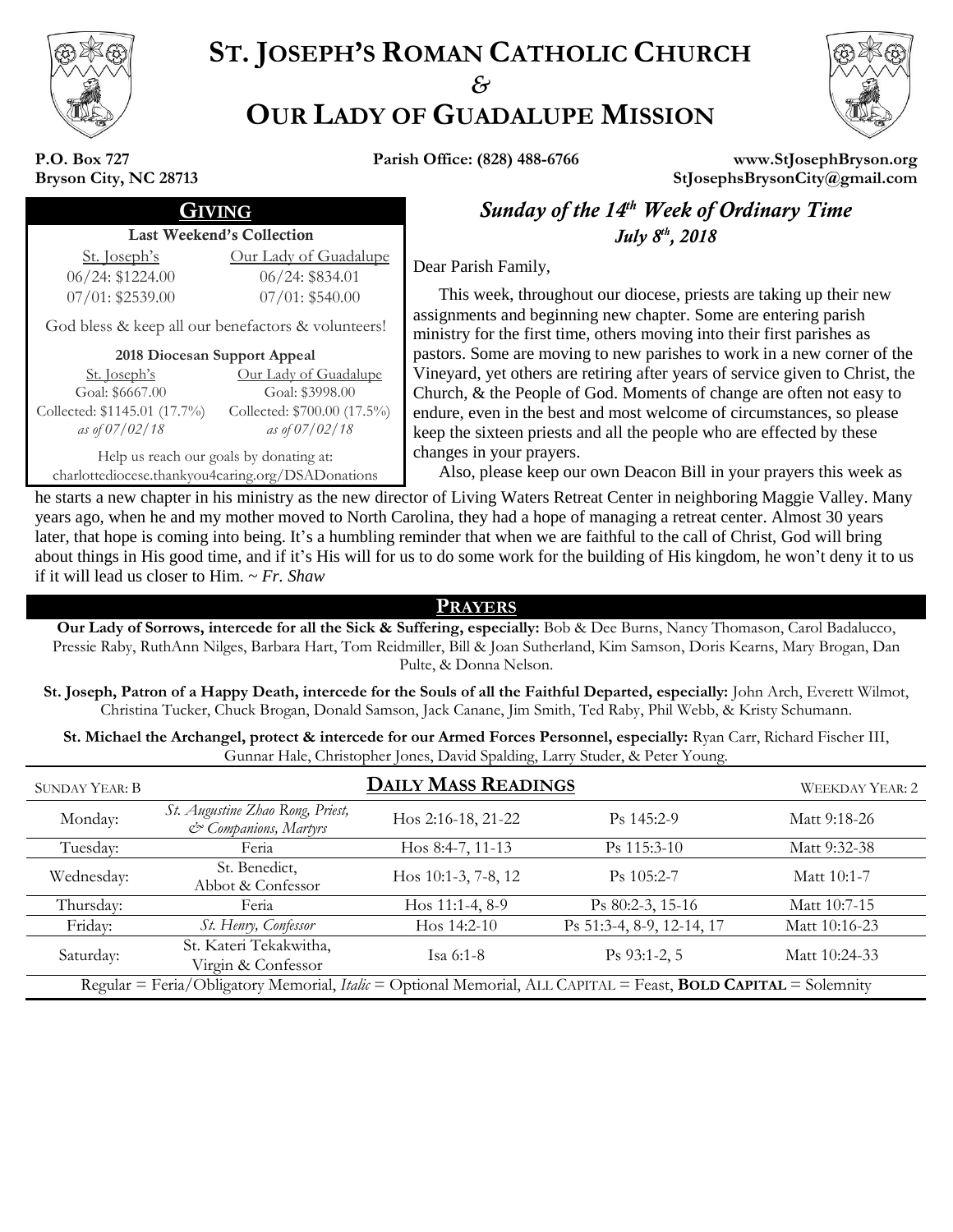

# **ST. JOSEPH'S ROMAN CATHOLIC CHURCH** *&* **OUR LADY OF GUADALUPE MISSION**



**P.O. Box 727 Bryson City, NC 28713**

**Parish Office: (828) 488-6766 www.StJosephBryson.org StJosephsBrysonCity@gmail.com**

### Last Weekend's Collection

St. Joseph's 06/24: \$1224.00 07/01: \$2539.00

### 06/24: \$834.01 07/01: \$540.00

Our Lady of Guadalupe

God bless & keep all our benefactors & volunteers!

### **2018 Diocesan Support Appeal**

St. Joseph's Goal: \$6667.00 Collected: \$1145.01 (17.7%) *as of 07/02/18* Our Lady of Guadalupe Goal: \$3998.00 Collected: \$700.00 (17.5%) *as of 07/02/18*

Help us reach our goals by donating at: charlottediocese.thankyou4caring.org/DSADonations

**GIVING Sunday of the 14<sup>th</sup> Week of Ordinary Time** *th , 2018*

Dear Parish Family,

 This week, throughout our diocese, priests are taking up their new assignments and beginning new chapter. Some are entering parish ministry for the first time, others moving into their first parishes as pastors. Some are moving to new parishes to work in a new corner of the Vineyard, yet others are retiring after years of service given to Christ, the Church, & the People of God. Moments of change are often not easy to endure, even in the best and most welcome of circumstances, so please keep the sixteen priests and all the people who are effected by these changes in your prayers.

Also, please keep our own Deacon Bill in your prayers this week as

he starts a new chapter in his ministry as the new director of Living Waters Retreat Center in neighboring Maggie Valley. Many years ago, when he and my mother moved to North Carolina, they had a hope of managing a retreat center. Almost 30 years later, that hope is coming into being. It's a humbling reminder that when we are faithful to the call of Christ, God will bring about things in His good time, and if it's His will for us to do some work for the building of His kingdom, he won't deny it to us if it will lead us closer to Him. ~ *Fr. Shaw*

### **PRAYERS**

**Our Lady of Sorrows, intercede for all the Sick & Suffering, especially:** Bob & Dee Burns, Nancy Thomason, Carol Badalucco, Pressie Raby, RuthAnn Nilges, Barbara Hart, Tom Reidmiller, Bill & Joan Sutherland, Kim Samson, Doris Kearns, Mary Brogan, Dan Pulte, & Donna Nelson.

**St. Joseph, Patron of a Happy Death, intercede for the Souls of all the Faithful Departed, especially:** John Arch, Everett Wilmot, Christina Tucker, Chuck Brogan, Donald Samson, Jack Canane, Jim Smith, Ted Raby, Phil Webb, & Kristy Schumann.

**St. Michael the Archangel, protect & intercede for our Armed Forces Personnel, especially:** Ryan Carr, Richard Fischer III, Gunnar Hale, Christopher Jones, David Spalding, Larry Studer, & Peter Young.

| <b>SUNDAY YEAR: B</b>                                                                                                        | <b>DAILY MASS READINGS</b>                                |                     |                           | <b>WEEKDAY YEAR: 2</b> |
|------------------------------------------------------------------------------------------------------------------------------|-----------------------------------------------------------|---------------------|---------------------------|------------------------|
| Monday:                                                                                                                      | St. Augustine Zhao Rong, Priest,<br>& Companions, Martyrs | Hos 2:16-18, 21-22  | $Ps$ 145:2-9              | Matt 9:18-26           |
| Tuesday:                                                                                                                     | Feria                                                     | Hos 8:4-7, 11-13    | Ps 115:3-10               | Matt 9:32-38           |
| Wednesday:                                                                                                                   | St. Benedict,<br>Abbot & Confessor                        | Hos 10:1-3, 7-8, 12 | $Ps$ 105:2-7              | Matt 10:1-7            |
| Thursday:                                                                                                                    | Feria                                                     | Hos $11:1-4, 8-9$   | $Ps$ 80:2-3, 15-16        | Matt 10:7-15           |
| Friday:                                                                                                                      | St. Henry, Confessor                                      | Hos $14:2-10$       | Ps 51:3-4, 8-9, 12-14, 17 | Matt 10:16-23          |
| Saturday:                                                                                                                    | St. Kateri Tekakwitha,<br>Virgin & Confessor              | Isa $6:1-8$         | $Ps$ 93:1-2, 5            | Matt 10:24-33          |
| Regular = Feria/Obligatory Memorial, <i>Italic</i> = Optional Memorial, ALL CAPITAL = Feast, <b>BOLD CAPITAL</b> = Solemnity |                                                           |                     |                           |                        |